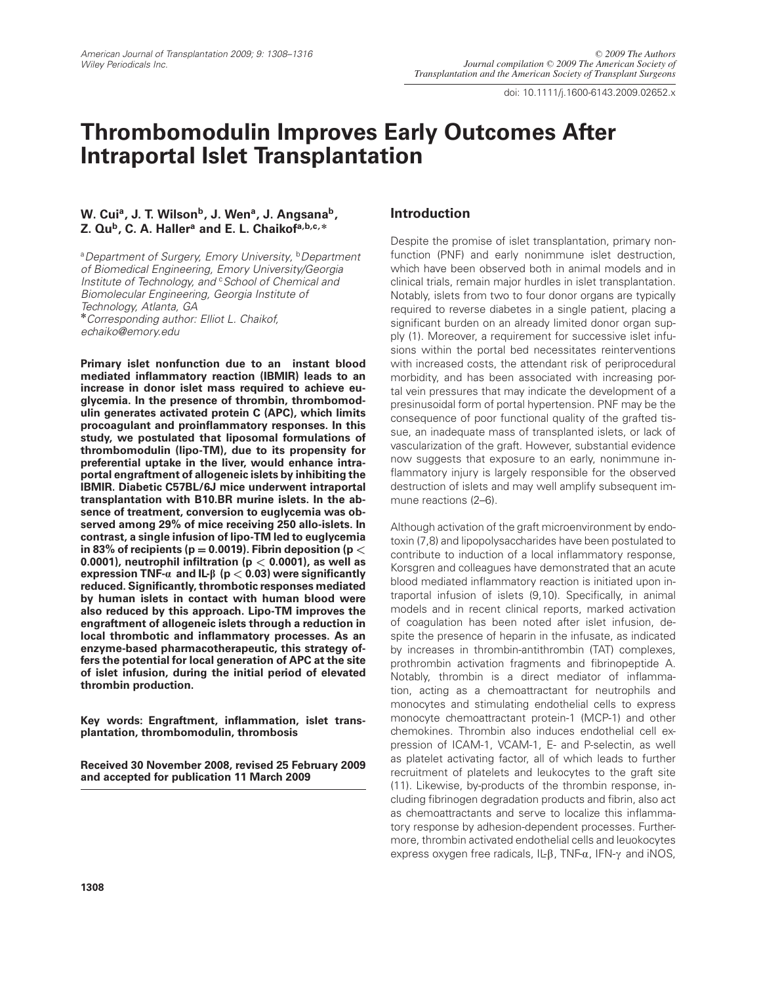doi: 10.1111/j.1600-6143.2009.02652.x

# **Thrombomodulin Improves Early Outcomes After Intraportal Islet Transplantation**

# W. Cui<sup>a</sup>, J. T. Wilson<sup>b</sup>, J. Wen<sup>a</sup>, J. Angsana<sup>b</sup>, **Z. Qub, C. A. Hallera and E. L. Chaikofa,b,c, \***

<sup>a</sup> Department of Surgery, Emory University, <sup>b</sup> Department of Biomedical Engineering, Emory University/Georgia Institute of Technology, and <sup>c</sup> School of Chemical and Biomolecular Engineering, Georgia Institute of Technology, Atlanta, GA **\***Corresponding author: Elliot L. Chaikof, echaiko@emory.edu

**Primary islet nonfunction due to an instant blood mediated inflammatory reaction (IBMIR) leads to an increase in donor islet mass required to achieve euglycemia. In the presence of thrombin, thrombomodulin generates activated protein C (APC), which limits procoagulant and proinflammatory responses. In this study, we postulated that liposomal formulations of thrombomodulin (lipo-TM), due to its propensity for preferential uptake in the liver, would enhance intraportal engraftment of allogeneic islets by inhibiting the IBMIR. Diabetic C57BL/6J mice underwent intraportal transplantation with B10.BR murine islets. In the absence of treatment, conversion to euglycemia was observed among 29% of mice receiving 250 allo-islets. In contrast, a single infusion of lipo-TM led to euglycemia** in 83% of recipients ( $p = 0.0019$ ). Fibrin deposition ( $p <$ **0.0001), neutrophil infiltration (p** *<* **0.0001), as well as expression TNF-a and IL-b (p** *<* **0.03) were significantly reduced. Significantly, thrombotic responses mediated by human islets in contact with human blood were also reduced by this approach. Lipo-TM improves the engraftment of allogeneic islets through a reduction in local thrombotic and inflammatory processes. As an enzyme-based pharmacotherapeutic, this strategy offers the potential for local generation of APC at the site of islet infusion, during the initial period of elevated thrombin production.**

**Key words: Engraftment, inflammation, islet transplantation, thrombomodulin, thrombosis**

**Received 30 November 2008, revised 25 February 2009 and accepted for publication 11 March 2009**

# **Introduction**

Despite the promise of islet transplantation, primary nonfunction (PNF) and early nonimmune islet destruction, which have been observed both in animal models and in clinical trials, remain major hurdles in islet transplantation. Notably, islets from two to four donor organs are typically required to reverse diabetes in a single patient, placing a significant burden on an already limited donor organ supply (1). Moreover, a requirement for successive islet infusions within the portal bed necessitates reinterventions with increased costs, the attendant risk of periprocedural morbidity, and has been associated with increasing portal vein pressures that may indicate the development of a presinusoidal form of portal hypertension. PNF may be the consequence of poor functional quality of the grafted tissue, an inadequate mass of transplanted islets, or lack of vascularization of the graft. However, substantial evidence now suggests that exposure to an early, nonimmune inflammatory injury is largely responsible for the observed destruction of islets and may well amplify subsequent immune reactions (2–6).

Although activation of the graft microenvironment by endotoxin (7,8) and lipopolysaccharides have been postulated to contribute to induction of a local inflammatory response, Korsgren and colleagues have demonstrated that an acute blood mediated inflammatory reaction is initiated upon intraportal infusion of islets (9,10). Specifically, in animal models and in recent clinical reports, marked activation of coagulation has been noted after islet infusion, despite the presence of heparin in the infusate, as indicated by increases in thrombin-antithrombin (TAT) complexes, prothrombin activation fragments and fibrinopeptide A. Notably, thrombin is a direct mediator of inflammation, acting as a chemoattractant for neutrophils and monocytes and stimulating endothelial cells to express monocyte chemoattractant protein-1 (MCP-1) and other chemokines. Thrombin also induces endothelial cell expression of ICAM-1, VCAM-1, E- and P-selectin, as well as platelet activating factor, all of which leads to further recruitment of platelets and leukocytes to the graft site (11). Likewise, by-products of the thrombin response, including fibrinogen degradation products and fibrin, also act as chemoattractants and serve to localize this inflammatory response by adhesion-dependent processes. Furthermore, thrombin activated endothelial cells and leuokocytes express oxygen free radicals, IL- $\beta$ , TNF- $\alpha$ , IFN- $\gamma$  and iNOS,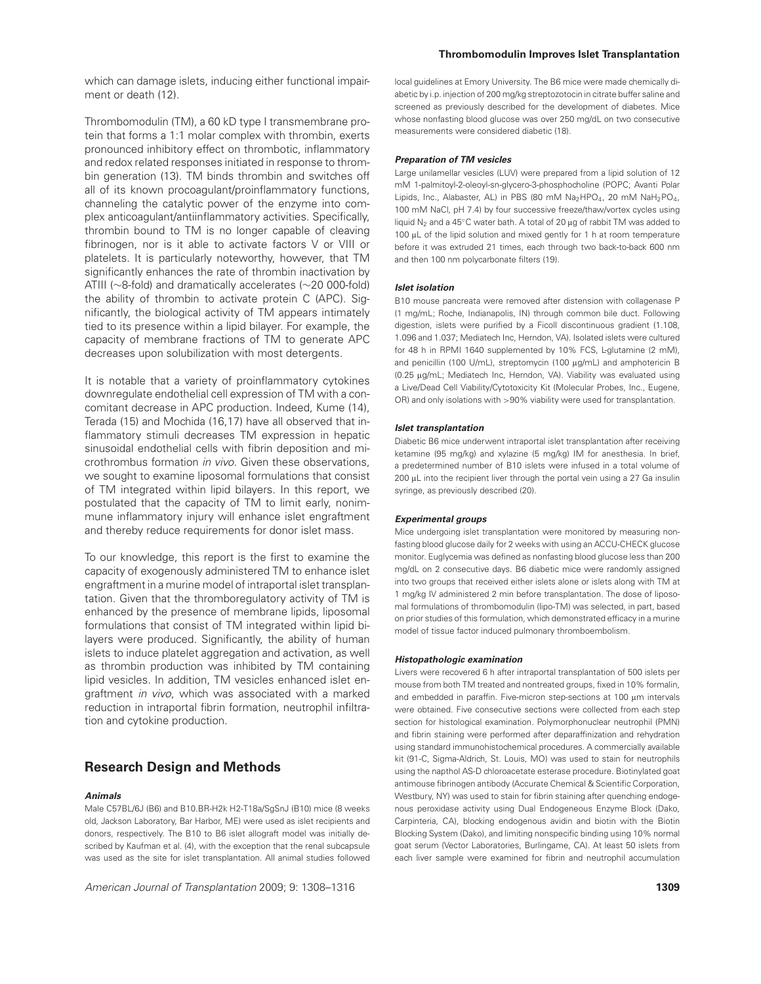which can damage islets, inducing either functional impairment or death (12).

Thrombomodulin (TM), a 60 kD type I transmembrane protein that forms a 1:1 molar complex with thrombin, exerts pronounced inhibitory effect on thrombotic, inflammatory and redox related responses initiated in response to thrombin generation (13). TM binds thrombin and switches off all of its known procoagulant/proinflammatory functions, channeling the catalytic power of the enzyme into complex anticoagulant/antiinflammatory activities. Specifically, thrombin bound to TM is no longer capable of cleaving fibrinogen, nor is it able to activate factors V or VIII or platelets. It is particularly noteworthy, however, that TM significantly enhances the rate of thrombin inactivation by ATIII (∼8-fold) and dramatically accelerates (∼20 000-fold) the ability of thrombin to activate protein C (APC). Significantly, the biological activity of TM appears intimately tied to its presence within a lipid bilayer. For example, the capacity of membrane fractions of TM to generate APC decreases upon solubilization with most detergents.

It is notable that a variety of proinflammatory cytokines downregulate endothelial cell expression of TM with a concomitant decrease in APC production. Indeed, Kume (14), Terada (15) and Mochida (16,17) have all observed that inflammatory stimuli decreases TM expression in hepatic sinusoidal endothelial cells with fibrin deposition and microthrombus formation in vivo. Given these observations, we sought to examine liposomal formulations that consist of TM integrated within lipid bilayers. In this report, we postulated that the capacity of TM to limit early, nonimmune inflammatory injury will enhance islet engraftment and thereby reduce requirements for donor islet mass.

To our knowledge, this report is the first to examine the capacity of exogenously administered TM to enhance islet engraftment in a murine model of intraportal islet transplantation. Given that the thromboregulatory activity of TM is enhanced by the presence of membrane lipids, liposomal formulations that consist of TM integrated within lipid bilayers were produced. Significantly, the ability of human islets to induce platelet aggregation and activation, as well as thrombin production was inhibited by TM containing lipid vesicles. In addition, TM vesicles enhanced islet engraftment in vivo, which was associated with a marked reduction in intraportal fibrin formation, neutrophil infiltration and cytokine production.

# **Research Design and Methods**

#### **Animals**

Male C57BL/6J (B6) and B10.BR-H2k H2-T18a/SgSnJ (B10) mice (8 weeks old, Jackson Laboratory, Bar Harbor, ME) were used as islet recipients and donors, respectively. The B10 to B6 islet allograft model was initially described by Kaufman et al. (4), with the exception that the renal subcapsule was used as the site for islet transplantation. All animal studies followed

American Journal of Transplantation 2009; 9: 1308–1316 **1309**

#### **Thrombomodulin Improves Islet Transplantation**

local guidelines at Emory University. The B6 mice were made chemically diabetic by i.p. injection of 200 mg/kg streptozotocin in citrate buffer saline and screened as previously described for the development of diabetes. Mice whose nonfasting blood glucose was over 250 mg/dL on two consecutive measurements were considered diabetic (18).

#### **Preparation of TM vesicles**

Large unilamellar vesicles (LUV) were prepared from a lipid solution of 12 mM 1-palmitoyl-2-oleoyl-sn-glycero-3-phosphocholine (POPC; Avanti Polar Lipids, Inc., Alabaster, AL) in PBS (80 mM Na<sub>2</sub>HPO<sub>4</sub>, 20 mM NaH<sub>2</sub>PO<sub>4</sub>, 100 mM NaCl, pH 7.4) by four successive freeze/thaw/vortex cycles using liquid N<sub>2</sub> and a 45℃ water bath. A total of 20 μg of rabbit TM was added to 100  $\mu$ L of the lipid solution and mixed gently for 1 h at room temperature before it was extruded 21 times, each through two back-to-back 600 nm and then 100 nm polycarbonate filters (19).

#### **Islet isolation**

B10 mouse pancreata were removed after distension with collagenase P (1 mg/mL; Roche, Indianapolis, IN) through common bile duct. Following digestion, islets were purified by a Ficoll discontinuous gradient (1.108, 1.096 and 1.037; Mediatech Inc, Herndon, VA). Isolated islets were cultured for 48 h in RPMI 1640 supplemented by 10% FCS, L-glutamine (2 mM), and penicillin (100 U/mL), streptomycin (100 µg/mL) and amphotericin B (0.25 µg/mL; Mediatech Inc, Herndon, VA). Viability was evaluated using a Live/Dead Cell Viability/Cytotoxicity Kit (Molecular Probes, Inc., Eugene, OR) and only isolations with >90% viability were used for transplantation.

#### **Islet transplantation**

Diabetic B6 mice underwent intraportal islet transplantation after receiving ketamine (95 mg/kg) and xylazine (5 mg/kg) IM for anesthesia. In brief, a predetermined number of B10 islets were infused in a total volume of  $200 \mu$ L into the recipient liver through the portal vein using a 27 Ga insulin syringe, as previously described (20).

#### **Experimental groups**

Mice undergoing islet transplantation were monitored by measuring nonfasting blood glucose daily for 2 weeks with using an ACCU-CHECK glucose monitor. Euglycemia was defined as nonfasting blood glucose less than 200 mg/dL on 2 consecutive days. B6 diabetic mice were randomly assigned into two groups that received either islets alone or islets along with TM at 1 mg/kg IV administered 2 min before transplantation. The dose of liposomal formulations of thrombomodulin (lipo-TM) was selected, in part, based on prior studies of this formulation, which demonstrated efficacy in a murine model of tissue factor induced pulmonary thromboembolism.

#### **Histopathologic examination**

Livers were recovered 6 h after intraportal transplantation of 500 islets per mouse from both TM treated and nontreated groups, fixed in 10% formalin, and embedded in paraffin. Five-micron step-sections at 100  $\mu$ m intervals were obtained. Five consecutive sections were collected from each step section for histological examination. Polymorphonuclear neutrophil (PMN) and fibrin staining were performed after deparaffinization and rehydration using standard immunohistochemical procedures. A commercially available kit (91-C, Sigma-Aldrich, St. Louis, MO) was used to stain for neutrophils using the napthol AS-D chloroacetate esterase procedure. Biotinylated goat antimouse fibrinogen antibody (Accurate Chemical & Scientific Corporation, Westbury, NY) was used to stain for fibrin staining after quenching endogenous peroxidase activity using Dual Endogeneous Enzyme Block (Dako, Carpinteria, CA), blocking endogenous avidin and biotin with the Biotin Blocking System (Dako), and limiting nonspecific binding using 10% normal goat serum (Vector Laboratories, Burlingame, CA). At least 50 islets from each liver sample were examined for fibrin and neutrophil accumulation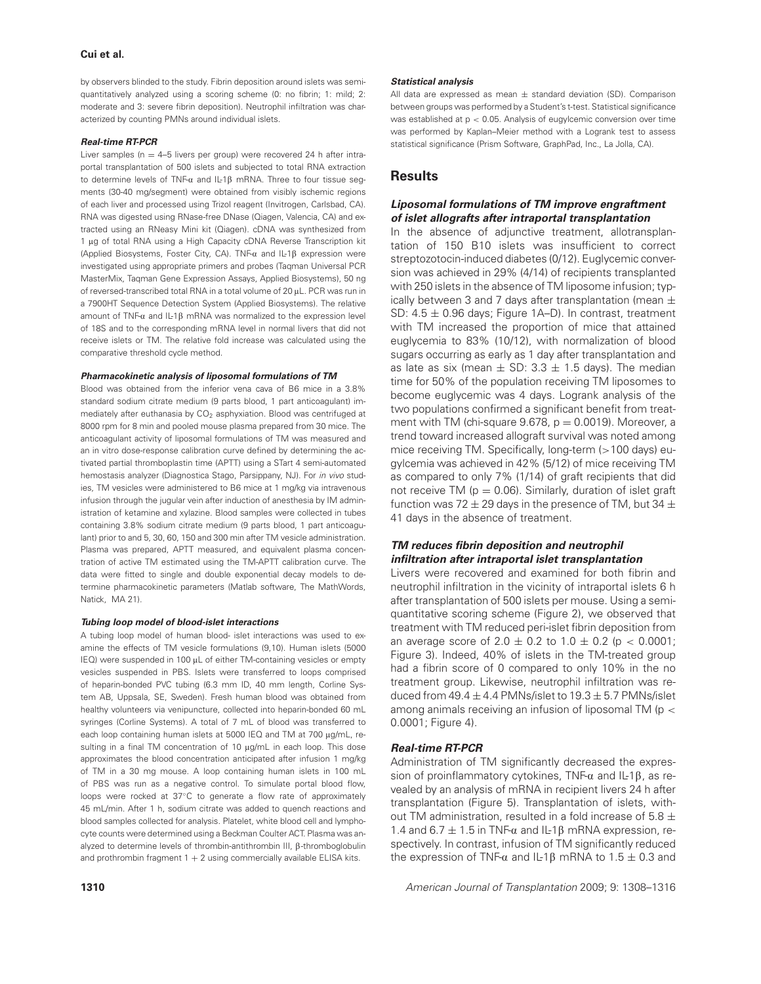### **Cui et al.**

by observers blinded to the study. Fibrin deposition around islets was semiquantitatively analyzed using a scoring scheme (0: no fibrin; 1: mild; 2: moderate and 3: severe fibrin deposition). Neutrophil infiltration was characterized by counting PMNs around individual islets.

#### **Real-time RT-PCR**

Liver samples ( $n = 4-5$  livers per group) were recovered 24 h after intraportal transplantation of 500 islets and subjected to total RNA extraction to determine levels of TNF- $\alpha$  and IL-1 $\beta$  mRNA. Three to four tissue segments (30-40 mg/segment) were obtained from visibly ischemic regions of each liver and processed using Trizol reagent (Invitrogen, Carlsbad, CA). RNA was digested using RNase-free DNase (Qiagen, Valencia, CA) and extracted using an RNeasy Mini kit (Qiagen). cDNA was synthesized from 1 µg of total RNA using a High Capacity cDNA Reverse Transcription kit (Applied Biosystems, Foster City, CA). TNF- $\alpha$  and IL-1 $\beta$  expression were investigated using appropriate primers and probes (Tagman Universal PCR MasterMix, Taqman Gene Expression Assays, Applied Biosystems), 50 ng of reversed-transcribed total RNA in a total volume of 20  $\mu$ L. PCR was run in a 7900HT Sequence Detection System (Applied Biosystems). The relative amount of  $TNF-\alpha$  and IL-1 $\beta$  mRNA was normalized to the expression level of 18S and to the corresponding mRNA level in normal livers that did not receive islets or TM. The relative fold increase was calculated using the comparative threshold cycle method.

#### **Pharmacokinetic analysis of liposomal formulations of TM**

Blood was obtained from the inferior vena cava of B6 mice in a 3.8% standard sodium citrate medium (9 parts blood, 1 part anticoagulant) immediately after euthanasia by CO<sub>2</sub> asphyxiation. Blood was centrifuged at 8000 rpm for 8 min and pooled mouse plasma prepared from 30 mice. The anticoagulant activity of liposomal formulations of TM was measured and an in vitro dose-response calibration curve defined by determining the activated partial thromboplastin time (APTT) using a STart 4 semi-automated hemostasis analyzer (Diagnostica Stago, Parsippany, NJ). For in vivo studies, TM vesicles were administered to B6 mice at 1 mg/kg via intravenous infusion through the jugular vein after induction of anesthesia by IM administration of ketamine and xylazine. Blood samples were collected in tubes containing 3.8% sodium citrate medium (9 parts blood, 1 part anticoagulant) prior to and 5, 30, 60, 150 and 300 min after TM vesicle administration. Plasma was prepared, APTT measured, and equivalent plasma concentration of active TM estimated using the TM-APTT calibration curve. The data were fitted to single and double exponential decay models to determine pharmacokinetic parameters (Matlab software, The MathWords, Natick, MA 21).

#### **Tubing loop model of blood-islet interactions**

A tubing loop model of human blood- islet interactions was used to examine the effects of TM vesicle formulations (9,10). Human islets (5000 IEQ) were suspended in 100 µL of either TM-containing vesicles or empty vesicles suspended in PBS. Islets were transferred to loops comprised of heparin-bonded PVC tubing (6.3 mm ID, 40 mm length, Corline System AB, Uppsala, SE, Sweden). Fresh human blood was obtained from healthy volunteers via venipuncture, collected into heparin-bonded 60 mL syringes (Corline Systems). A total of 7 mL of blood was transferred to each loop containing human islets at 5000 IEQ and TM at 700 µg/mL, resulting in a final TM concentration of 10 µg/mL in each loop. This dose approximates the blood concentration anticipated after infusion 1 mg/kg of TM in a 30 mg mouse. A loop containing human islets in 100 mL of PBS was run as a negative control. To simulate portal blood flow, loops were rocked at 37◦C to generate a flow rate of approximately 45 mL/min. After 1 h, sodium citrate was added to quench reactions and blood samples collected for analysis. Platelet, white blood cell and lymphocyte counts were determined using a Beckman Coulter ACT. Plasma was analyzed to determine levels of thrombin-antithrombin III,  $\beta$ -thromboglobulin and prothrombin fragment  $1 + 2$  using commercially available ELISA kits.

#### **Statistical analysis**

All data are expressed as mean  $\pm$  standard deviation (SD). Comparison between groups was performed by a Student's t-test. Statistical significance was established at  $p < 0.05$ . Analysis of eugylcemic conversion over time was performed by Kaplan–Meier method with a Logrank test to assess statistical significance (Prism Software, GraphPad, Inc., La Jolla, CA).

## **Results**

### **Liposomal formulations of TM improve engraftment of islet allografts after intraportal transplantation**

In the absence of adjunctive treatment, allotransplantation of 150 B10 islets was insufficient to correct streptozotocin-induced diabetes (0/12). Euglycemic conversion was achieved in 29% (4/14) of recipients transplanted with 250 islets in the absence of TM liposome infusion; typically between 3 and 7 days after transplantation (mean  $\pm$ SD:  $4.5 \pm 0.96$  days; Figure 1A–D). In contrast, treatment with TM increased the proportion of mice that attained euglycemia to 83% (10/12), with normalization of blood sugars occurring as early as 1 day after transplantation and as late as six (mean  $\pm$  SD: 3.3  $\pm$  1.5 days). The median time for 50% of the population receiving TM liposomes to become euglycemic was 4 days. Logrank analysis of the two populations confirmed a significant benefit from treatment with TM (chi-square  $9.678$ ,  $p = 0.0019$ ). Moreover, a trend toward increased allograft survival was noted among mice receiving TM. Specifically, long-term (>100 days) eugylcemia was achieved in 42% (5/12) of mice receiving TM as compared to only 7% (1/14) of graft recipients that did not receive TM ( $p = 0.06$ ). Similarly, duration of islet graft function was 72  $\pm$  29 days in the presence of TM, but 34  $\pm$ 41 days in the absence of treatment.

### **TM reduces fibrin deposition and neutrophil infiltration after intraportal islet transplantation**

Livers were recovered and examined for both fibrin and neutrophil infiltration in the vicinity of intraportal islets 6 h after transplantation of 500 islets per mouse. Using a semiquantitative scoring scheme (Figure 2), we observed that treatment with TM reduced peri-islet fibrin deposition from an average score of 2.0  $\pm$  0.2 to 1.0  $\pm$  0.2 (p < 0.0001; Figure 3). Indeed, 40% of islets in the TM-treated group had a fibrin score of 0 compared to only 10% in the no treatment group. Likewise, neutrophil infiltration was reduced from  $49.4 \pm 4.4$  PMNs/islet to  $19.3 \pm 5.7$  PMNs/islet among animals receiving an infusion of liposomal TM (p < 0.0001; Figure 4).

### **Real-time RT-PCR**

Administration of TM significantly decreased the expression of proinflammatory cytokines, TNF- $\alpha$  and IL-1 $\beta$ , as revealed by an analysis of mRNA in recipient livers 24 h after transplantation (Figure 5). Transplantation of islets, without TM administration, resulted in a fold increase of 5.8  $\pm$ 1.4 and 6.7  $\pm$  1.5 in TNF- $\alpha$  and IL-1 $\beta$  mRNA expression, respectively. In contrast, infusion of TM significantly reduced the expression of TNF- $\alpha$  and IL-1 $\beta$  mRNA to 1.5  $\pm$  0.3 and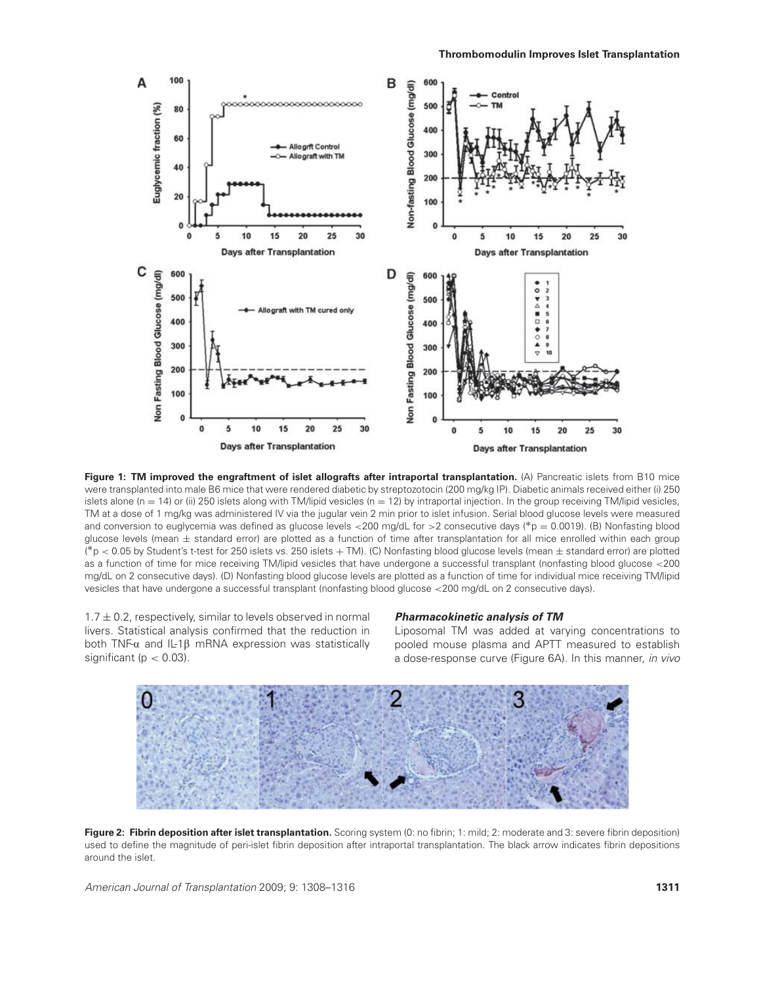

**Figure 1: TM improved the engraftment of islet allografts after intraportal transplantation.** (A) Pancreatic islets from B10 mice were transplanted into male B6 mice that were rendered diabetic by streptozotocin (200 mg/kg IP). Diabetic animals received either (i) 250 islets alone ( $n = 14$ ) or (ii) 250 islets along with TM/lipid vesicles ( $n = 12$ ) by intraportal injection. In the group receiving TM/lipid vesicles, TM at a dose of 1 mg/kg was administered IV via the jugular vein 2 min prior to islet infusion. Serial blood glucose levels were measured and conversion to euglycemia was defined as glucose levels <200 mg/dL for >2 consecutive days (∗p = 0.0019). (B) Nonfasting blood glucose levels (mean  $\pm$  standard error) are plotted as a function of time after transplantation for all mice enrolled within each group (\* $p$   $<$  0.05 by Student's t-test for 250 islets vs. 250 islets  $+$  TM). (C) Nonfasting blood glucose levels (mean  $\pm$  standard error) are plotted as a function of time for mice receiving TM/lipid vesicles that have undergone a successful transplant (nonfasting blood glucose <200 mg/dL on 2 consecutive days). (D) Nonfasting blood glucose levels are plotted as a function of time for individual mice receiving TM/lipid vesicles that have undergone a successful transplant (nonfasting blood glucose <200 mg/dL on 2 consecutive days).

 $1.7 \pm 0.2$ , respectively, similar to levels observed in normal livers. Statistical analysis confirmed that the reduction in both TNF- $\alpha$  and IL-1 $\beta$  mRNA expression was statistically significant ( $p < 0.03$ ).

### **Pharmacokinetic analysis of TM**

Liposomal TM was added at varying concentrations to pooled mouse plasma and APTT measured to establish a dose-response curve (Figure 6A). In this manner, in vivo



Figure 2: Fibrin deposition after islet transplantation. Scoring system (0: no fibrin; 1: mild; 2: moderate and 3: severe fibrin deposition) used to define the magnitude of peri-islet fibrin deposition after intraportal transplantation. The black arrow indicates fibrin depositions around the islet.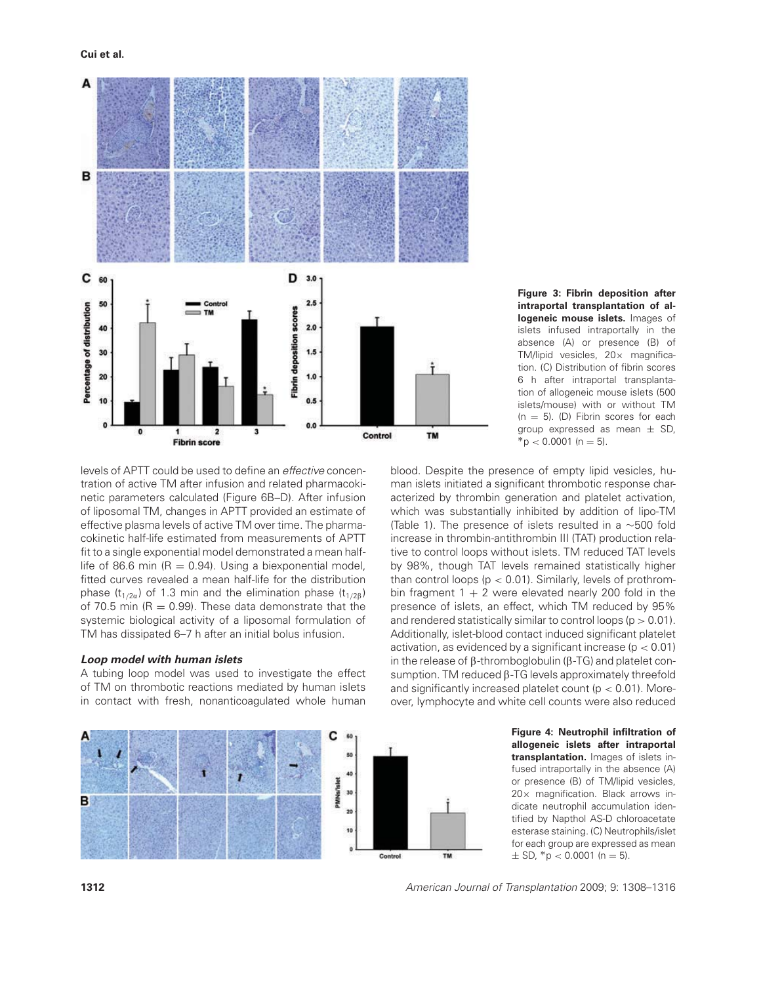

levels of APTT could be used to define an effective concentration of active TM after infusion and related pharmacokinetic parameters calculated (Figure 6B–D). After infusion of liposomal TM, changes in APTT provided an estimate of effective plasma levels of active TM over time. The pharmacokinetic half-life estimated from measurements of APTT fit to a single exponential model demonstrated a mean halflife of 86.6 min ( $R = 0.94$ ). Using a biexponential model, fitted curves revealed a mean half-life for the distribution phase ( $t_{1/2a}$ ) of 1.3 min and the elimination phase ( $t_{1/2B}$ ) of 70.5 min ( $R = 0.99$ ). These data demonstrate that the systemic biological activity of a liposomal formulation of TM has dissipated 6–7 h after an initial bolus infusion.

#### **Loop model with human islets**

A tubing loop model was used to investigate the effect of TM on thrombotic reactions mediated by human islets in contact with fresh, nonanticoagulated whole human



blood. Despite the presence of empty lipid vesicles, human islets initiated a significant thrombotic response characterized by thrombin generation and platelet activation, which was substantially inhibited by addition of lipo-TM (Table 1). The presence of islets resulted in a ∼500 fold increase in thrombin-antithrombin III (TAT) production relative to control loops without islets. TM reduced TAT levels by 98%, though TAT levels remained statistically higher than control loops ( $p < 0.01$ ). Similarly, levels of prothrombin fragment  $1 + 2$  were elevated nearly 200 fold in the presence of islets, an effect, which TM reduced by 95% and rendered statistically similar to control loops ( $p > 0.01$ ). Additionally, islet-blood contact induced significant platelet activation, as evidenced by a significant increase ( $p < 0.01$ ) in the release of  $\beta$ -thromboglobulin ( $\beta$ -TG) and platelet consumption. TM reduced  $\beta$ -TG levels approximately threefold and significantly increased platelet count ( $p < 0.01$ ). Moreover, lymphocyte and white cell counts were also reduced



**Figure 4: Neutrophil infiltration of allogeneic islets after intraportal transplantation.** Images of islets infused intraportally in the absence (A) or presence (B) of TM/lipid vesicles, 20× magnification. Black arrows indicate neutrophil accumulation identified by Napthol AS-D chloroacetate esterase staining. (C) Neutrophils/islet for each group are expressed as mean  $\pm$  SD, \*p < 0.0001 (n = 5).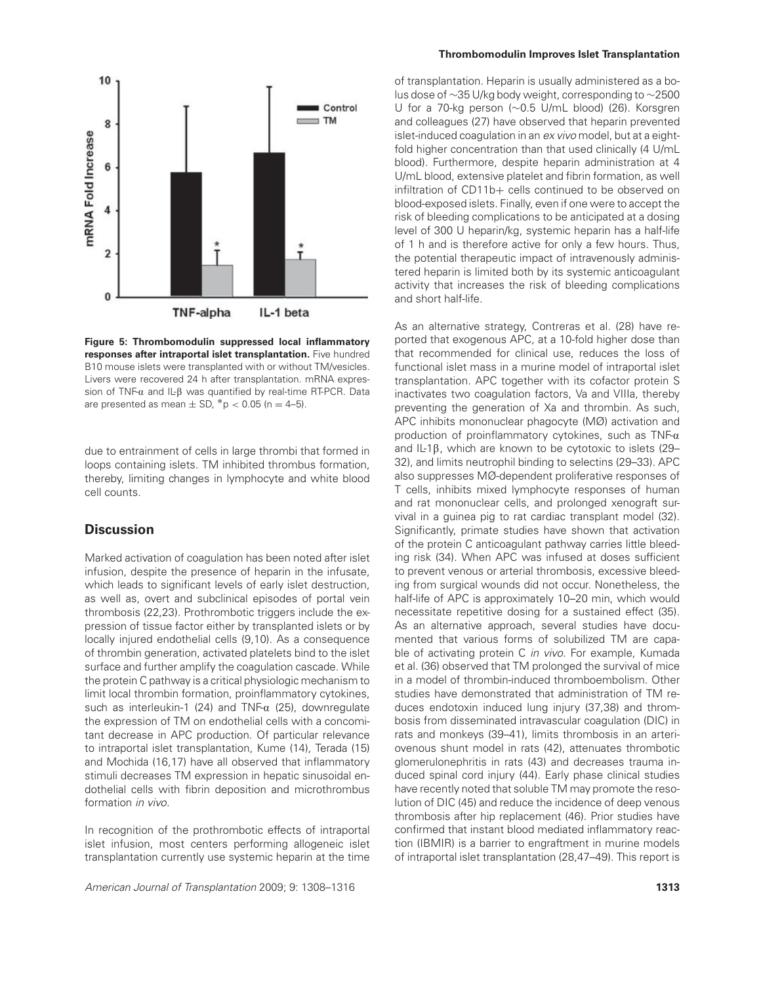

**Figure 5: Thrombomodulin suppressed local inflammatory responses after intraportal islet transplantation.** Five hundred B10 mouse islets were transplanted with or without TM/vesicles. Livers were recovered 24 h after transplantation. mRNA expression of TNF- $\alpha$  and IL- $\beta$  was quantified by real-time RT-PCR. Data are presented as mean  $\pm$  SD, \*p < 0.05 (n = 4–5).

due to entrainment of cells in large thrombi that formed in loops containing islets. TM inhibited thrombus formation, thereby, limiting changes in lymphocyte and white blood cell counts.

# **Discussion**

Marked activation of coagulation has been noted after islet infusion, despite the presence of heparin in the infusate, which leads to significant levels of early islet destruction, as well as, overt and subclinical episodes of portal vein thrombosis (22,23). Prothrombotic triggers include the expression of tissue factor either by transplanted islets or by locally injured endothelial cells (9,10). As a consequence of thrombin generation, activated platelets bind to the islet surface and further amplify the coagulation cascade. While the protein C pathway is a critical physiologic mechanism to limit local thrombin formation, proinflammatory cytokines, such as interleukin-1 (24) and TNF- $\alpha$  (25), downregulate the expression of TM on endothelial cells with a concomitant decrease in APC production. Of particular relevance to intraportal islet transplantation, Kume (14), Terada (15) and Mochida (16,17) have all observed that inflammatory stimuli decreases TM expression in hepatic sinusoidal endothelial cells with fibrin deposition and microthrombus formation in vivo.

In recognition of the prothrombotic effects of intraportal islet infusion, most centers performing allogeneic islet transplantation currently use systemic heparin at the time

American Journal of Transplantation 2009; 9: 1308–1316 **1313**

#### **Thrombomodulin Improves Islet Transplantation**

of transplantation. Heparin is usually administered as a bolus dose of ∼35 U/kg body weight, corresponding to ∼2500 U for a 70-kg person (∼0.5 U/mL blood) (26). Korsgren and colleagues (27) have observed that heparin prevented islet-induced coagulation in an ex vivo model, but at a eightfold higher concentration than that used clinically (4 U/mL blood). Furthermore, despite heparin administration at 4 U/mL blood, extensive platelet and fibrin formation, as well infiltration of CD11b+ cells continued to be observed on blood-exposed islets. Finally, even if one were to accept the risk of bleeding complications to be anticipated at a dosing level of 300 U heparin/kg, systemic heparin has a half-life of 1 h and is therefore active for only a few hours. Thus, the potential therapeutic impact of intravenously administered heparin is limited both by its systemic anticoagulant activity that increases the risk of bleeding complications and short half-life.

As an alternative strategy, Contreras et al. (28) have reported that exogenous APC, at a 10-fold higher dose than that recommended for clinical use, reduces the loss of functional islet mass in a murine model of intraportal islet transplantation. APC together with its cofactor protein S inactivates two coagulation factors, Va and VIIIa, thereby preventing the generation of Xa and thrombin. As such, APC inhibits mononuclear phagocyte (MØ) activation and production of proinflammatory cytokines, such as  $TNF-\alpha$ and IL-1 $\beta$ , which are known to be cytotoxic to islets (29– 32), and limits neutrophil binding to selectins (29–33). APC also suppresses MØ-dependent proliferative responses of T cells, inhibits mixed lymphocyte responses of human and rat mononuclear cells, and prolonged xenograft survival in a guinea pig to rat cardiac transplant model (32). Significantly, primate studies have shown that activation of the protein C anticoagulant pathway carries little bleeding risk (34). When APC was infused at doses sufficient to prevent venous or arterial thrombosis, excessive bleeding from surgical wounds did not occur. Nonetheless, the half-life of APC is approximately 10-20 min, which would necessitate repetitive dosing for a sustained effect (35). As an alternative approach, several studies have documented that various forms of solubilized TM are capable of activating protein C in vivo. For example, Kumada et al. (36) observed that TM prolonged the survival of mice in a model of thrombin-induced thromboembolism. Other studies have demonstrated that administration of TM reduces endotoxin induced lung injury (37,38) and thrombosis from disseminated intravascular coagulation (DIC) in rats and monkeys (39–41), limits thrombosis in an arteriovenous shunt model in rats (42), attenuates thrombotic glomerulonephritis in rats (43) and decreases trauma induced spinal cord injury (44). Early phase clinical studies have recently noted that soluble TM may promote the resolution of DIC (45) and reduce the incidence of deep venous thrombosis after hip replacement (46). Prior studies have confirmed that instant blood mediated inflammatory reaction (IBMIR) is a barrier to engraftment in murine models of intraportal islet transplantation (28,47–49). This report is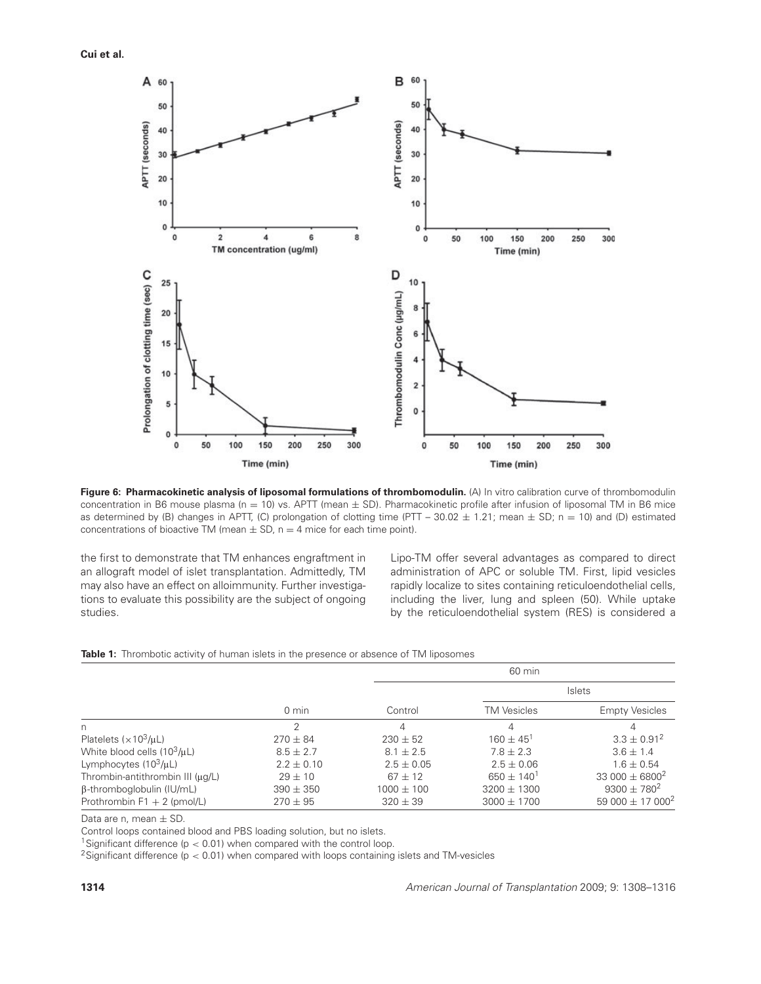**Cui et al.**



**Figure 6: Pharmacokinetic analysis of liposomal formulations of thrombomodulin.** (A) In vitro calibration curve of thrombomodulin concentration in B6 mouse plasma ( $n = 10$ ) vs. APTT (mean  $\pm$  SD). Pharmacokinetic profile after infusion of liposomal TM in B6 mice as determined by (B) changes in APTT, (C) prolongation of clotting time (PTT – 30.02  $\pm$  1.21; mean  $\pm$  SD; n = 10) and (D) estimated concentrations of bioactive TM (mean  $\pm$  SD, n = 4 mice for each time point).

the first to demonstrate that TM enhances engraftment in an allograft model of islet transplantation. Admittedly, TM may also have an effect on alloimmunity. Further investigations to evaluate this possibility are the subject of ongoing studies.

Lipo-TM offer several advantages as compared to direct administration of APC or soluble TM. First, lipid vesicles rapidly localize to sites containing reticuloendothelial cells, including the liver, lung and spleen (50). While uptake by the reticuloendothelial system (RES) is considered a

|  |  |  | <b>Table 1:</b> Thrombotic activity of human islets in the presence or absence of TM liposomes |
|--|--|--|------------------------------------------------------------------------------------------------|
|  |  |  |                                                                                                |

|                                       |                 | 60 min         |                          |                                  |  |
|---------------------------------------|-----------------|----------------|--------------------------|----------------------------------|--|
|                                       |                 |                | Islets                   |                                  |  |
|                                       | $0 \text{ min}$ | Control        | <b>TM Vesicles</b>       | <b>Empty Vesicles</b>            |  |
| n                                     | っ               | 4              | 4                        |                                  |  |
| Platelets $(x10^3/\mu)$               | $270 \pm 84$    | $230 + 52$     | $160 \pm 45^1$           | $3.3 \pm 0.91^2$                 |  |
| White blood cells $(10^3/\mu L)$      | $8.5 \pm 2.7$   | $8.1 + 2.5$    | $7.8 + 2.3$              | $3.6 \pm 1.4$                    |  |
| Lymphocytes $(10^3/\mu)$              | $2.2 \pm 0.10$  | $2.5 \pm 0.05$ | $2.5 \pm 0.06$           | $1.6 \pm 0.54$                   |  |
| Thrombin-antithrombin III $(\mu g/L)$ | $29 + 10$       | $67 + 12$      | $650 + 140$ <sup>1</sup> | 33 000 $\pm$ 6800 <sup>2</sup>   |  |
| $\beta$ -thromboglobulin (IU/mL)      | $390 \pm 350$   | $1000 \pm 100$ | $3200 \pm 1300$          | $9300 \pm 780^{2}$               |  |
| Prothrombin $F1 + 2$ (pmol/L)         | $270 \pm 95$    | $320 \pm 39$   | $3000 \pm 1700$          | 59 000 $\pm$ 17 000 <sup>2</sup> |  |

Data are n, mean  $\pm$  SD.

Control loops contained blood and PBS loading solution, but no islets.

<sup>1</sup>Significant difference ( $p < 0.01$ ) when compared with the control loop.

 $2$ Significant difference ( $p < 0.01$ ) when compared with loops containing islets and TM-vesicles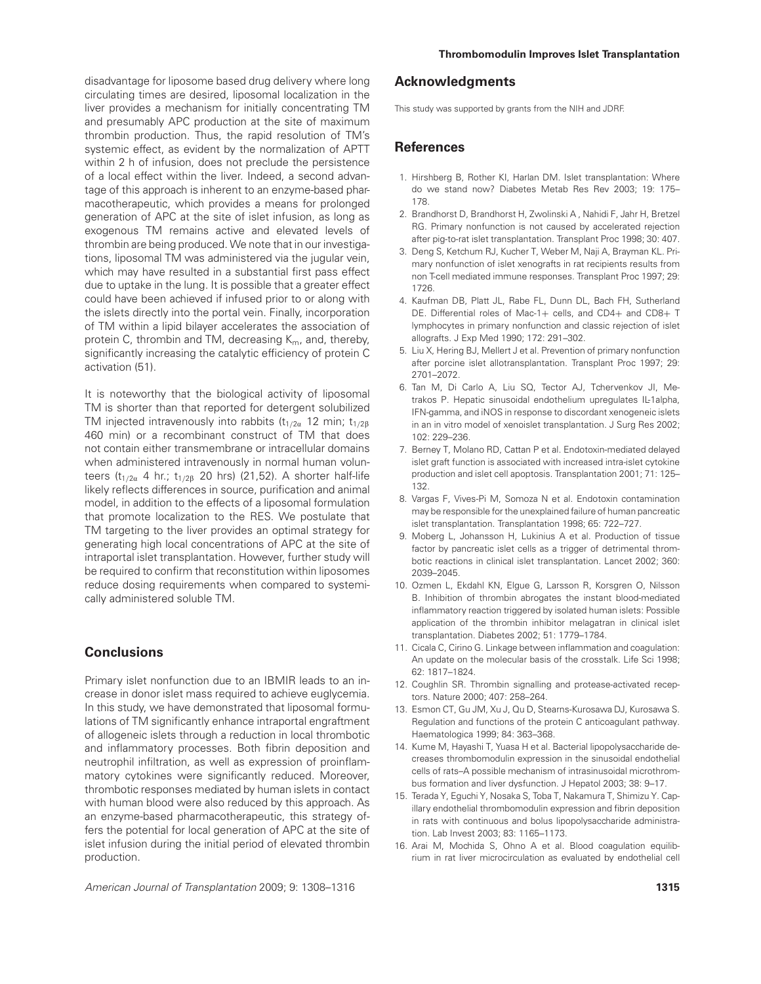disadvantage for liposome based drug delivery where long circulating times are desired, liposomal localization in the liver provides a mechanism for initially concentrating TM and presumably APC production at the site of maximum thrombin production. Thus, the rapid resolution of TM's systemic effect, as evident by the normalization of APTT within 2 h of infusion, does not preclude the persistence of a local effect within the liver. Indeed, a second advantage of this approach is inherent to an enzyme-based pharmacotherapeutic, which provides a means for prolonged generation of APC at the site of islet infusion, as long as exogenous TM remains active and elevated levels of thrombin are being produced. We note that in our investigations, liposomal TM was administered via the jugular vein, which may have resulted in a substantial first pass effect due to uptake in the lung. It is possible that a greater effect could have been achieved if infused prior to or along with the islets directly into the portal vein. Finally, incorporation of TM within a lipid bilayer accelerates the association of protein C, thrombin and TM, decreasing  $K_m$ , and, thereby, significantly increasing the catalytic efficiency of protein C activation (51).

It is noteworthy that the biological activity of liposomal TM is shorter than that reported for detergent solubilized TM injected intravenously into rabbits  $(t_{1/2\alpha}$  12 min;  $t_{1/2\beta}$ 460 min) or a recombinant construct of TM that does not contain either transmembrane or intracellular domains when administered intravenously in normal human volunteers ( $t_{1/2\alpha}$  4 hr.;  $t_{1/2\beta}$  20 hrs) (21,52). A shorter half-life likely reflects differences in source, purification and animal model, in addition to the effects of a liposomal formulation that promote localization to the RES. We postulate that TM targeting to the liver provides an optimal strategy for generating high local concentrations of APC at the site of intraportal islet transplantation. However, further study will be required to confirm that reconstitution within liposomes reduce dosing requirements when compared to systemically administered soluble TM.

# **Conclusions**

Primary islet nonfunction due to an IBMIR leads to an increase in donor islet mass required to achieve euglycemia. In this study, we have demonstrated that liposomal formulations of TM significantly enhance intraportal engraftment of allogeneic islets through a reduction in local thrombotic and inflammatory processes. Both fibrin deposition and neutrophil infiltration, as well as expression of proinflammatory cytokines were significantly reduced. Moreover, thrombotic responses mediated by human islets in contact with human blood were also reduced by this approach. As an enzyme-based pharmacotherapeutic, this strategy offers the potential for local generation of APC at the site of islet infusion during the initial period of elevated thrombin production.

### **Acknowledgments**

This study was supported by grants from the NIH and JDRF.

## **References**

- 1. Hirshberg B, Rother KI, Harlan DM. Islet transplantation: Where do we stand now? Diabetes Metab Res Rev 2003; 19: 175– 178.
- 2. Brandhorst D, Brandhorst H, Zwolinski A , Nahidi F, Jahr H, Bretzel RG. Primary nonfunction is not caused by accelerated rejection after pig-to-rat islet transplantation. Transplant Proc 1998; 30: 407.
- 3. Deng S, Ketchum RJ, Kucher T, Weber M, Naji A, Brayman KL. Primary nonfunction of islet xenografts in rat recipients results from non T-cell mediated immune responses. Transplant Proc 1997; 29: 1726.
- 4. Kaufman DB, Platt JL, Rabe FL, Dunn DL, Bach FH, Sutherland DE. Differential roles of Mac-1+ cells, and CD4+ and CD8+ T lymphocytes in primary nonfunction and classic rejection of islet allografts. J Exp Med 1990; 172: 291–302.
- 5. Liu X, Hering BJ, Mellert J et al. Prevention of primary nonfunction after porcine islet allotransplantation. Transplant Proc 1997; 29: 2701–2072.
- 6. Tan M, Di Carlo A, Liu SQ, Tector AJ, Tchervenkov JI, Metrakos P. Hepatic sinusoidal endothelium upregulates IL-1alpha, IFN-gamma, and iNOS in response to discordant xenogeneic islets in an in vitro model of xenoislet transplantation. J Surg Res 2002; 102: 229–236.
- 7. Berney T, Molano RD, Cattan P et al. Endotoxin-mediated delayed islet graft function is associated with increased intra-islet cytokine production and islet cell apoptosis. Transplantation 2001; 71: 125– 132.
- 8. Vargas F, Vives-Pi M, Somoza N et al. Endotoxin contamination may be responsible for the unexplained failure of human pancreatic islet transplantation. Transplantation 1998; 65: 722–727.
- 9. Moberg L, Johansson H, Lukinius A et al. Production of tissue factor by pancreatic islet cells as a trigger of detrimental thrombotic reactions in clinical islet transplantation. Lancet 2002; 360: 2039–2045.
- 10. Ozmen L, Ekdahl KN, Elgue G, Larsson R, Korsgren O, Nilsson B. Inhibition of thrombin abrogates the instant blood-mediated inflammatory reaction triggered by isolated human islets: Possible application of the thrombin inhibitor melagatran in clinical islet transplantation. Diabetes 2002; 51: 1779–1784.
- 11. Cicala C, Cirino G. Linkage between inflammation and coagulation: An update on the molecular basis of the crosstalk. Life Sci 1998; 62: 1817–1824.
- 12. Coughlin SR. Thrombin signalling and protease-activated receptors. Nature 2000; 407: 258–264.
- 13. Esmon CT, Gu JM, Xu J, Qu D, Stearns-Kurosawa DJ, Kurosawa S. Regulation and functions of the protein C anticoagulant pathway. Haematologica 1999; 84: 363–368.
- 14. Kume M, Hayashi T, Yuasa H et al. Bacterial lipopolysaccharide decreases thrombomodulin expression in the sinusoidal endothelial cells of rats–A possible mechanism of intrasinusoidal microthrombus formation and liver dysfunction. J Hepatol 2003; 38: 9–17.
- 15. Terada Y, Eguchi Y, Nosaka S, Toba T, Nakamura T, Shimizu Y. Capillary endothelial thrombomodulin expression and fibrin deposition in rats with continuous and bolus lipopolysaccharide administration. Lab Invest 2003; 83: 1165–1173.
- 16. Arai M, Mochida S, Ohno A et al. Blood coagulation equilibrium in rat liver microcirculation as evaluated by endothelial cell